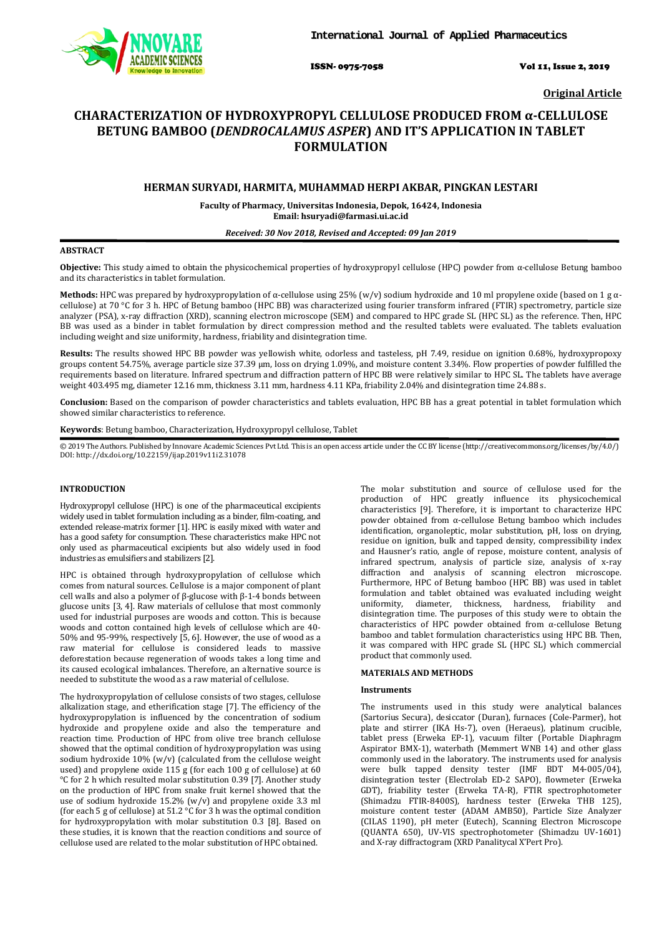

ISSN- 0975-7058 Vol 11, Issue 2, 2019

**Original Article**

# **CHARACTERIZATION OF HYDROXYPROPYL CELLULOSE PRODUCED FROM α-CELLULOSE BETUNG BAMBOO (***DENDROCALAMUS ASPER***) AND IT'S APPLICATION IN TABLET FORMULATION**

## **HERMAN SURYADI, HARMITA, MUHAMMAD HERPI AKBAR, PINGKAN LESTARI**

**Faculty of Pharmacy, Universitas Indonesia, Depok, 16424, Indonesia Email[: hsuryadi@farmasi.ui.ac.id](mailto:hsuryadi@farmasi.ui.ac.id)**

#### *Received: 30 Nov 2018, Revised and Accepted: 09 Jan 2019*

### **ABSTRACT**

**Objective:** This study aimed to obtain the physicochemical properties of hydroxypropyl cellulose (HPC) powder from α-cellulose Betung bamboo and its characteristics in tablet formulation.

**Methods:** HPC was prepared by hydroxypropylation of α-cellulose using 25% (w/v) sodium hydroxide and 10 ml propylene oxide (based on 1 g αcellulose) at 70 °C for 3 h. HPC of Betung bamboo (HPC BB) was characterized using fourier transform infrared (FTIR) spectrometry, particle size analyzer (PSA), x-ray diffraction (XRD), scanning electron microscope (SEM) and compared to HPC grade SL (HPC SL) as the reference. Then, HPC BB was used as a binder in tablet formulation by direct compression method and the resulted tablets were evaluated. The tablets evaluation including weight and size uniformity, hardness, friability and disintegration time.

**Results:** The results showed HPC BB powder was yellowish white, odorless and tasteless, pH 7.49, residue on ignition 0.68%, hydroxypropoxy groups content 54.75%, average particle size 37.39 μm, loss on drying 1.09%, and moisture content 3.34%. Flow properties of powder fulfilled the requirements based on literature. Infrared spectrum and diffraction pattern of HPC BB were relatively similar to HPC SL. The tablets have average weight 403.495 mg, diameter 12.16 mm, thickness 3.11 mm, hardness 4.11 KPa, friability 2.04% and disintegration time 24.88 s.

**Conclusion:** Based on the comparison of powder characteristics and tablets evaluation, HPC BB has a great potential in tablet formulation which showed similar characteristics to reference.

**Keywords**: Betung bamboo, Characterization, Hydroxypropyl cellulose, Tablet

© 2019 The Authors. Published by Innovare Academic Sciences Pvt Ltd. This is an open access article under the CC BY license [\(http://creativecommons.org/licenses/by/4.0/\)](http://creativecommons.org/licenses/by/4.0/) DOI: http://dx.doi.org/10.22159/ijap.2019v11i2.31078

### **INTRODUCTION**

Hydroxypropyl cellulose (HPC) is one of the pharmaceutical excipients widely used in tablet formulation including as a binder, film-coating, and extended release-matrix former [1]. HPC is easily mixed with water and has a good safety for consumption. These characteristics make HPC not only used as pharmaceutical excipients but also widely used in food industries as emulsifiers and stabilizers [2].

HPC is obtained through hydroxypropylation of cellulose which comes from natural sources. Cellulose is a major component of plant cell walls and also a polymer of β-glucose with β-1-4 bonds between glucose units [3, 4]. Raw materials of cellulose that most commonly used for industrial purposes are woods and cotton. This is because woods and cotton contained high levels of cellulose which are 40- 50% and 95-99%, respectively [5, 6]. However, the use of wood as a raw material for cellulose is considered leads to massive deforestation because regeneration of woods takes a long time and its caused ecological imbalances. Therefore, an alternative source is needed to substitute the wood as a raw material of cellulose.

The hydroxypropylation of cellulose consists of two stages, cellulose alkalization stage, and etherification stage [7]. The efficiency of the hydroxypropylation is influenced by the concentration of sodium hydroxide and propylene oxide and also the temperature and reaction time. Production of HPC from olive tree branch cellulose showed that the optimal condition of hydroxypropylation was using sodium hydroxide  $10\%$  (w/v) (calculated from the cellulose weight used) and propylene oxide 115 g (for each 100 g of cellulose) at 60 °C for 2 h which resulted molar substitution 0.39 [7]. Another study on the production of HPC from snake fruit kernel showed that the use of sodium hydroxide 15.2% (w/v) and propylene oxide 3.3 ml (for each 5 g of cellulose) at 51.2  $\degree$ C for 3 h was the optimal condition for hydroxypropylation with molar substitution 0.3 [8]. Based on these studies, it is known that the reaction conditions and source of cellulose used are related to the molar substitution of HPC obtained.

The molar substitution and source of cellulose used for the production of HPC greatly influence its physicochemical characteristics [9]. Therefore, it is important to characterize HPC powder obtained from α-cellulose Betung bamboo which includes identification, organoleptic, molar substitution, pH, loss on drying, residue on ignition, bulk and tapped density, compressibility index and Hausner's ratio, angle of repose, moisture content, analysis of infrared spectrum, analysis of particle size, analysis of x-ray diffraction and analysis of scanning electron microscope. Furthermore, HPC of Betung bamboo (HPC BB) was used in tablet formulation and tablet obtained was evaluated including weight uniformity, diameter, thickness, hardness, friability and disintegration time. The purposes of this study were to obtain the characteristics of HPC powder obtained from α-cellulose Betung bamboo and tablet formulation characteristics using HPC BB. Then, it was compared with HPC grade SL (HPC SL) which commercial product that commonly used.

#### **MATERIALS AND METHODS**

#### **Instruments**

The instruments used in this study were analytical balances (Sartorius Secura), desiccator (Duran), furnaces (Cole-Parmer), hot plate and stirrer (IKA Hs-7), oven (Heraeus), platinum crucible, tablet press (Erweka EP-1), vacuum filter (Portable Diaphragm Aspirator BMX-1), waterbath (Memmert WNB 14) and other glass commonly used in the laboratory. The instruments used for analysis were bulk tapped density tester (IMF BDT M4-005/04), disintegration tester (Electrolab ED-2 SAPO), flowmeter (Erweka GDT), friability tester (Erweka TA-R), FTIR spectrophotometer (Shimadzu FTIR-8400S), hardness tester (Erweka THB 125), moisture content tester (ADAM AMB50), Particle Size Analyzer (CILAS 1190), pH meter (Eutech), Scanning Electron Microscope (QUANTA 650), UV-VIS spectrophotometer (Shimadzu UV-1601) and X-ray diffractogram (XRD Panalitycal X'Pert Pro).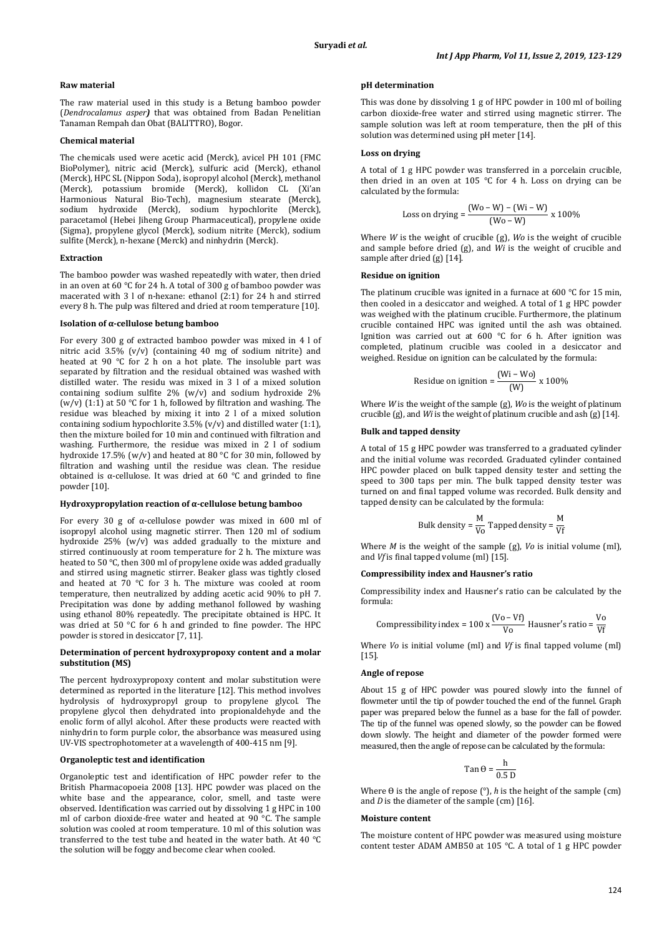#### **Raw material**

The raw material used in this study is a Betung bamboo powder (*Dendrocalamus asper)* that was obtained from Badan Penelitian Tanaman Rempah dan Obat (BALITTRO), Bogor.

#### **Chemical material**

The chemicals used were acetic acid (Merck), avicel PH 101 (FMC BioPolymer), nitric acid (Merck), sulfuric acid (Merck), ethanol (Merck), HPC SL (Nippon Soda), isopropyl alcohol (Merck), methanol (Merck), potassium bromide (Merck), kollidon CL (Xi'an Harmonious Natural Bio-Tech), magnesium stearate (Merck), sodium hydroxide (Merck), sodium hypochlorite (Merck), paracetamol (Hebei Jiheng Group Pharmaceutical), propylene oxide (Sigma), propylene glycol (Merck), sodium nitrite (Merck), sodium sulfite (Merck), n-hexane (Merck) and ninhydrin (Merck).

#### **Extraction**

The bamboo powder was washed repeatedly with water, then dried in an oven at 60 °C for 24 h. A total of 300 g of bamboo powder was macerated with 3 l of n-hexane: ethanol (2:1) for 24 h and stirred every 8 h. The pulp was filtered and dried at room temperature [10].

#### **Isolation of α-cellulose betung bamboo**

For every 300 g of extracted bamboo powder was mixed in 4 l of nitric acid 3.5% (v/v) (containing 40 mg of sodium nitrite) and heated at 90 °C for 2 h on a hot plate. The insoluble part was separated by filtration and the residual obtained was washed with distilled water. The residu was mixed in 3 l of a mixed solution containing sodium sulfite  $2\%$  (w/v) and sodium hydroxide  $2\%$ (w/v) (1:1) at 50 °C for 1 h, followed by filtration and washing. The residue was bleached by mixing it into 2 l of a mixed solution containing sodium hypochlorite  $3.5\%$  (v/v) and distilled water (1:1), then the mixture boiled for 10 min and continued with filtration and washing. Furthermore, the residue was mixed in 2 l of sodium hydroxide 17.5% (w/v) and heated at 80 °C for 30 min, followed by filtration and washing until the residue was clean. The residue obtained is α-cellulose. It was dried at 60 °C and grinded to fine powder [10].

#### **Hydroxypropylation reaction of α-cellulose betung bamboo**

For every 30 g of α-cellulose powder was mixed in 600 ml of isopropyl alcohol using magnetic stirrer. Then 120 ml of sodium hydroxide 25% (w/v) was added gradually to the mixture and stirred continuously at room temperature for 2 h. The mixture was heated to 50 °C, then 300 ml of propylene oxide was added gradually and stirred using magnetic stirrer. Beaker glass was tightly closed and heated at 70 °C for 3 h. The mixture was cooled at room temperature, then neutralized by adding acetic acid 90% to pH 7. Precipitation was done by adding methanol followed by washing using ethanol 80% repeatedly. The precipitate obtained is HPC. It was dried at 50 °C for 6 h and grinded to fine powder. The HPC powder is stored in desiccator [7, 11].

#### **Determination of percent hydroxypropoxy content and a molar substitution (MS)**

The percent hydroxypropoxy content and molar substitution were determined as reported in the literature [12]. This method involves hydrolysis of hydroxypropyl group to propylene glycol. The propylene glycol then dehydrated into propionaldehyde and the enolic form of allyl alcohol. After these products were reacted with ninhydrin to form purple color, the absorbance was measured using UV-VIS spectrophotometer at a wavelength of 400-415 nm [9].

#### **Organoleptic test and identification**

Organoleptic test and identification of HPC powder refer to the British Pharmacopoeia 2008 [13]. HPC powder was placed on the white base and the appearance, color, smell, and taste were observed. Identification was carried out by dissolving 1 g HPC in 100 ml of carbon dioxide-free water and heated at 90 °C. The sample solution was cooled at room temperature. 10 ml of this solution was transferred to the test tube and heated in the water bath. At 40 °C the solution will be foggy and become clear when cooled.

#### **pH determination**

This was done by dissolving 1 g of HPC powder in 100 ml of boiling carbon dioxide-free water and stirred using magnetic stirrer. The sample solution was left at room temperature, then the pH of this solution was determined using pH meter [14].

### **Loss on drying**

A total of 1 g HPC powder was transferred in a porcelain crucible, then dried in an oven at 105 °C for 4 h. Loss on drying can be calculated by the formula:

Loss on drying = 
$$
\frac{(Wo - W) - (Wi - W)}{(Wo - W)} \times 100\%
$$

Where *W* is the weight of crucible (g), *Wo* is the weight of crucible and sample before dried (g), and *Wi* is the weight of crucible and sample after dried (g) [14].

#### **Residue on ignition**

The platinum crucible was ignited in a furnace at 600 °C for 15 min, then cooled in a desiccator and weighed. A total of 1 g HPC powder was weighed with the platinum crucible. Furthermore, the platinum crucible contained HPC was ignited until the ash was obtained. Ignition was carried out at 600 °C for 6 h. After ignition was completed, platinum crucible was cooled in a desiccator and weighed. Residue on ignition can be calculated by the formula:

Residue on ignition <sup>=</sup> (Wi <sup>−</sup> Wo) (W) <sup>x</sup> 100%

Where *W* is the weight of the sample (g), *Wo* is the weight of platinum crucible (g), and *Wi* is the weight of platinum crucible and ash (g) [14].

### **Bulk and tapped density**

A total of 15 g HPC powder was transferred to a graduated cylinder and the initial volume was recorded. Graduated cylinder contained HPC powder placed on bulk tapped density tester and setting the speed to 300 taps per min. The bulk tapped density tester was turned on and final tapped volume was recorded. Bulk density and tapped density can be calculated by the formula:

Bulk density = 
$$
\frac{M}{V_0}
$$
 Tapped density =  $\frac{M}{Vf}$ 

Where *M* is the weight of the sample (g), *Vo* is initial volume (ml), and *Vf* is final tapped volume (ml) [15].

#### **Compressibility index and Hausner's ratio**

Compressibility index and Hausner's ratio can be calculated by the formula:

Compressibility index = 100 x 
$$
\frac{(Vo - Vf)}{Vo}
$$
 Hausner's ratio =  $\frac{Vo}{Vf}$ 

Where *Vo* is initial volume (ml) and *Vf* is final tapped volume (ml) [15].

#### **Angle of repose**

About 15 g of HPC powder was poured slowly into the funnel of flowmeter until the tip of powder touched the end of the funnel. Graph paper was prepared below the funnel as a base for the fall of powder. The tip of the funnel was opened slowly, so the powder can be flowed down slowly. The height and diameter of the powder formed were measured, then the angle of repose can be calculated by the formula:

$$
\tan \theta = \frac{h}{0.5 \text{ D}}
$$

Where  $\theta$  is the angle of repose  $(\degree)$ , *h* is the height of the sample (cm) and *D* is the diameter of the sample (cm) [16].

#### **Moisture content**

The moisture content of HPC powder was measured using moisture content tester ADAM AMB50 at 105 °C. A total of 1 g HPC powder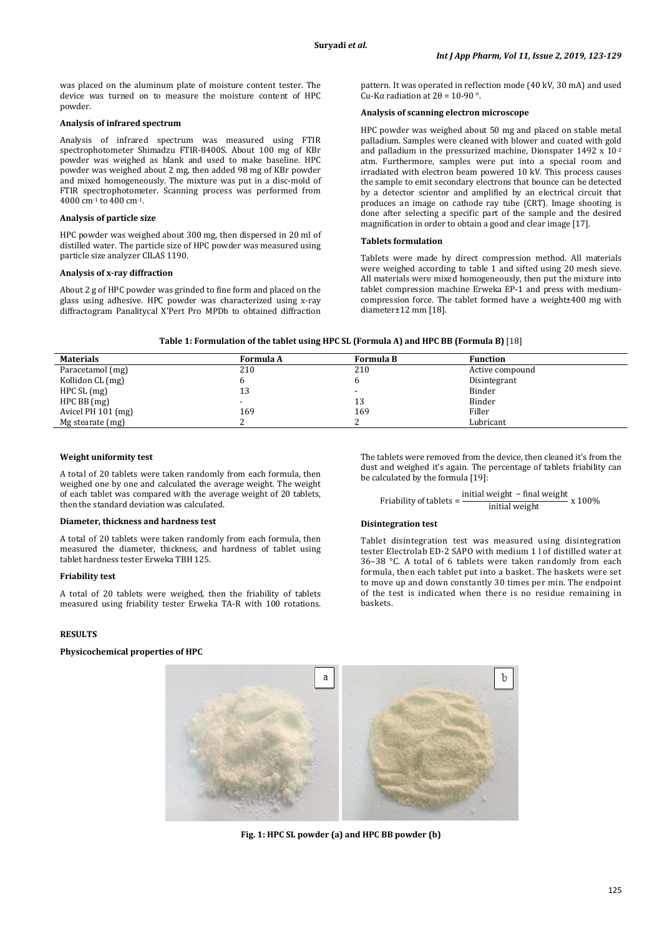was placed on the aluminum plate of moisture content tester. The device was turned on to measure the moisture content of HPC powder.

#### **Analysis of infrared spectrum**

Analysis of infrared spectrum was measured using FTIR spectrophotometer Shimadzu FTIR-8400S. About 100 mg of KBr powder was weighed as blank and used to make baseline. HPC powder was weighed about 2 mg, then added 98 mg of KBr powder and mixed homogeneously. The mixture was put in a disc-mold of FTIR spectrophotometer. Scanning process was performed from 4000 cm-1 to 400 cm-1 .

#### **Analysis of particle size**

HPC powder was weighed about 300 mg, then dispersed in 20 ml of distilled water. The particle size of HPC powder was measured using particle size analyzer CILAS 1190.

### **Analysis of x-ray diffraction**

About 2 g of HPC powder was grinded to fine form and placed on the glass using adhesive. HPC powder was characterized using x-ray diffractogram Panalitycal X'Pert Pro MPDb to obtained diffraction pattern. It was operated in reflection mode (40 kV, 30 mA) and used Cu-Kα radiation at 2θ = 10-90 °.

#### **Analysis of scanning electron microscope**

HPC powder was weighed about 50 mg and placed on stable metal palladium. Samples were cleaned with blower and coated with gold and palladium in the pressurized machine, Dionspater 1492 x 10-2 atm. Furthermore, samples were put into a special room and irradiated with electron beam powered 10 kV. This process causes the sample to emit secondary electrons that bounce can be detected by a detector scientor and amplified by an electrical circuit that produces an image on cathode ray tube (CRT). Image shooting is done after selecting a specific part of the sample and the desired magnification in order to obtain a good and clear image [17].

#### **Tablets formulation**

Tablets were made by direct compression method. All materials were weighed according to table 1 and sifted using 20 mesh sieve. All materials were mixed homogeneously, then put the mixture into tablet compression machine Erweka EP-1 and press with mediumcompression force. The tablet formed have a weight±400 mg with diameter±12 mm [18].

| <b>Materials</b>   | Formula A | <b>Formula B</b> | <b>Function</b> |
|--------------------|-----------|------------------|-----------------|
| Paracetamol (mg)   | 210       | 210              | Active compound |
| Kollidon CL (mg)   |           |                  | Disintegrant    |
| HPC SL(mg)         | 13        |                  | Binder          |
| HPC BB $(mg)$      |           | 13               | Binder          |
| Avicel PH 101 (mg) | 169       | 169              | Filler          |
| Mg stearate (mg)   |           |                  | Lubricant       |

#### **Weight uniformity test**

A total of 20 tablets were taken randomly from each formula, then weighed one by one and calculated the average weight. The weight of each tablet was compared with the average weight of 20 tablets, then the standard deviation was calculated.

#### **Diameter, thickness and hardness test**

A total of 20 tablets were taken randomly from each formula, then measured the diameter, thickness, and hardness of tablet using tablet hardness tester Erweka TBH 125.

### **Friability test**

A total of 20 tablets were weighed, then the friability of tablets measured using friability tester Erweka TA-R with 100 rotations.

#### **RESULTS**

### **Physicochemical properties of HPC**



**Fig. 1: HPC SL powder (a) and HPC BB powder (b)**

The tablets were removed from the device, then cleaned it's from the dust and weighed it's again. The percentage of tablets friability can be calculated by the formula [19]:

```
Friability of tablets = \frac{\text{initial weight} - \text{final weight}}{\text{initial weight}}\frac{1}{\text{initial weight}} x 100%
```
#### **Disintegration test**

Tablet disintegration test was measured using disintegration tester Electrolab ED-2 SAPO with medium 1 l of distilled water at 36–38 °C. A total of 6 tablets were taken randomly from each formula, then each tablet put into a basket. The baskets were set to move up and down constantly 30 times per min. The endpoint of the test is indicated when there is no residue remaining in baskets.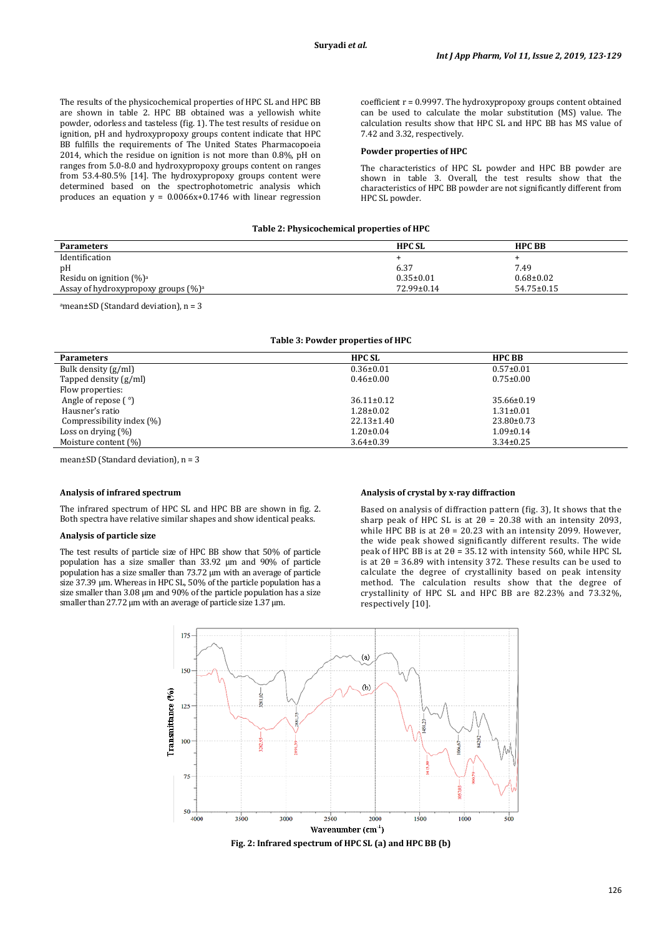The results of the physicochemical properties of HPC SL and HPC BB are shown in table 2. HPC BB obtained was a yellowish white powder, odorless and tasteless (fig. 1). The test results of residue on ignition, pH and hydroxypropoxy groups content indicate that HPC BB fulfills the requirements of The United States Pharmacopoeia 2014, which the residue on ignition is not more than 0.8%, pH on ranges from 5.0-8.0 and hydroxypropoxy groups content on ranges from 53.4-80.5% [14]. The hydroxypropoxy groups content were determined based on the spectrophotometric analysis which produces an equation  $y = 0.0066x + 0.1746$  with linear regression

coefficient  $r = 0.9997$ . The hydroxypropoxy groups content obtained can be used to calculate the molar substitution (MS) value. The calculation results show that HPC SL and HPC BB has MS value of 7.42 and 3.32, respectively.

#### **Powder properties of HPC**

The characteristics of HPC SL powder and HPC BB powder are shown in table 3. Overall, the test results show that the characteristics of HPC BB powder are not significantly different from HPC SL powder.

#### **Table 2: Physicochemical properties of HPC**

| <b>Parameters</b>                       | <b>HPC SL</b>    | <b>HPC BB</b>    |  |
|-----------------------------------------|------------------|------------------|--|
| Identification                          |                  |                  |  |
| pH                                      | 6.37             | 7.49             |  |
| Residu on ignition $(\%)^a$             | $0.35 \pm 0.01$  | $0.68 \pm 0.02$  |  |
| Assay of hydroxypropoxy groups $(\%)^a$ | $72.99 \pm 0.14$ | $54.75 \pm 0.15$ |  |
|                                         |                  |                  |  |

amean $\pm$ SD (Standard deviation), n = 3

#### **Table 3: Powder properties of HPC**

| <b>Parameters</b>           | <b>HPC SL</b>    | <b>HPC BB</b>    |
|-----------------------------|------------------|------------------|
| Bulk density (g/ml)         | $0.36 \pm 0.01$  | $0.57 \pm 0.01$  |
| Tapped density (g/ml)       | $0.46 \pm 0.00$  | $0.75 \pm 0.00$  |
| Flow properties:            |                  |                  |
| Angle of repose $(\degree)$ | $36.11 \pm 0.12$ | $35.66 \pm 0.19$ |
| Hausner's ratio             | $1.28 \pm 0.02$  | $1.31 \pm 0.01$  |
| Compressibility index (%)   | $22.13 \pm 1.40$ | $23.80 \pm 0.73$ |
| Loss on drying $(\%)$       | $1.20 \pm 0.04$  | $1.09 \pm 0.14$  |
| Moisture content (%)        | $3.64 \pm 0.39$  | $3.34 \pm 0.25$  |

mean±SD (Standard deviation), n = 3

### **Analysis of infrared spectrum**

The infrared spectrum of HPC SL and HPC BB are shown in fig. 2. Both spectra have relative similar shapes and show identical peaks.

#### **Analysis of particle size**

The test results of particle size of HPC BB show that 50% of particle population has a size smaller than 33.92 μm and 90% of particle population has a size smaller than 73.72 μm with an average of particle size 37.39 μm. Whereas in HPC SL, 50% of the particle population has a size smaller than 3.08 μm and 90% of the particle population has a size smaller than 27.72 μm with an average of particle size 1.37 μm.

#### **Analysis of crystal by x-ray diffraction**

Based on analysis of diffraction pattern (fig. 3), It shows that the sharp peak of HPC SL is at  $2\theta = 20.38$  with an intensity 2093, while HPC BB is at  $2\theta$  = 20.23 with an intensity 2099. However, the wide peak showed significantly different results. The wide peak of HPC BB is at  $2\theta = 35.12$  with intensity 560, while HPC SL is at  $2\theta$  = 36.89 with intensity 372. These results can be used to calculate the degree of crystallinity based on peak intensity method. The calculation results show that the degree of crystallinity of HPC SL and HPC BB are 82.23% and 73.32%, respectively [10].



**Fig. 2: Infrared spectrum of HPC SL (a) and HPC BB (b)**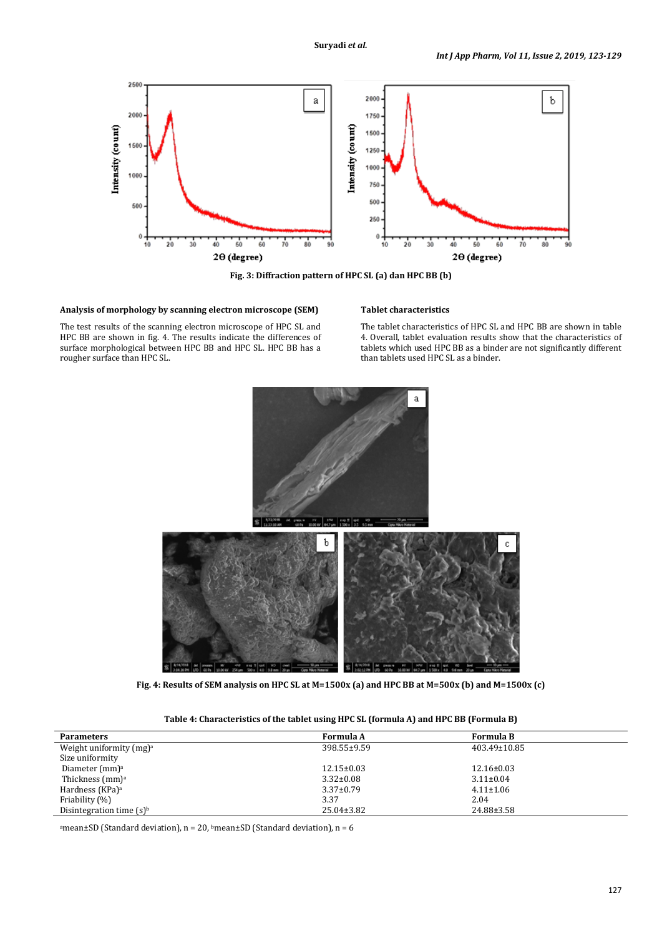

**Fig. 3: Diffraction pattern of HPC SL (a) dan HPC BB (b)**

# **Analysis of morphology by scanning electron microscope (SEM)**

The test results of the scanning electron microscope of HPC SL and HPC BB are shown in fig. 4. The results indicate the differences of surface morphological between HPC BB and HPC SL. HPC BB has a rougher surface than HPC SL.

# **Tablet characteristics**

The tablet characteristics of HPC SL and HPC BB are shown in table 4. Overall, tablet evaluation results show that the characteristics of tablets which used HPC BB as a binder are not significantly different than tablets used HPC SL as a binder.



**Fig. 4: Results of SEM analysis on HPC SL at M=1500x (a) and HPC BB at M=500x (b) and M=1500x (c)**

| Table 4: Characteristics of the tablet using HPC SL (formula A) and HPC BB (Formula B) |  |
|----------------------------------------------------------------------------------------|--|
|----------------------------------------------------------------------------------------|--|

| <b>Parameters</b>           | Formula A         | <b>Formula B</b> |
|-----------------------------|-------------------|------------------|
| Weight uniformity $(mg)^a$  | $398.55 \pm 9.59$ | 403.49±10.85     |
| Size uniformity             |                   |                  |
| Diameter $(mm)^a$           | $12.15 \pm 0.03$  | $12.16 \pm 0.03$ |
| Thickness $(mm)^a$          | $3.32 \pm 0.08$   | $3.11 \pm 0.04$  |
| Hardness (KPa) <sup>a</sup> | $3.37 \pm 0.79$   | $4.11 \pm 1.06$  |
| Friability (%)              | 3.37              | 2.04             |
| Disintegration time $(s)^b$ | $25.04 \pm 3.82$  | 24.88±3.58       |

 $a$ mean±SD (Standard deviation), n = 20,  $b$ mean±SD (Standard deviation), n = 6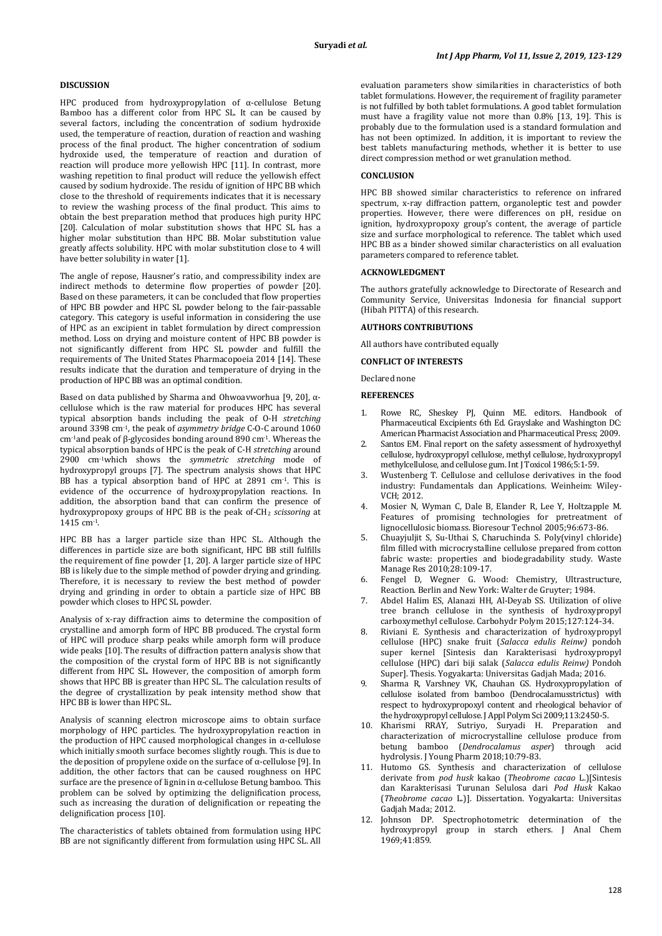HPC produced from hydroxypropylation of α-cellulose Betung Bamboo has a different color from HPC SL. It can be caused by several factors, including the concentration of sodium hydroxide used, the temperature of reaction, duration of reaction and washing process of the final product. The higher concentration of sodium hydroxide used, the temperature of reaction and duration of reaction will produce more yellowish HPC [11]. In contrast, more washing repetition to final product will reduce the yellowish effect caused by sodium hydroxide. The residu of ignition of HPC BB which close to the threshold of requirements indicates that it is necessary to review the washing process of the final product. This aims to obtain the best preparation method that produces high purity HPC [20]. Calculation of molar substitution shows that HPC SL has a higher molar substitution than HPC BB. Molar substitution value greatly affects solubility. HPC with molar substitution close to 4 will have better solubility in water [1].

The angle of repose, Hausner's ratio, and compressibility index are indirect methods to determine flow properties of powder [20]. Based on these parameters, it can be concluded that flow properties of HPC BB powder and HPC SL powder belong to the fair-passable category. This category is useful information in considering the use of HPC as an excipient in tablet formulation by direct compression method. Loss on drying and moisture content of HPC BB powder is not significantly different from HPC SL powder and fulfill the requirements of The United States Pharmacopoeia 2014 [14]. These results indicate that the duration and temperature of drying in the production of HPC BB was an optimal condition.

Based on data published by Sharma and Ohwoavworhua [9, 20], αcellulose which is the raw material for produces HPC has several typical absorption bands including the peak of O-H *stretching* around 3398 cm-1, the peak of *asymmetry bridge* C-O-C around 1060 cm-1and peak of β-glycosides bonding around 890 cm-1. Whereas the typical absorption bands of HPC is the peak of C-H *stretching* around 2900 cm-1which shows the *symmetric stretching* mode of hydroxypropyl groups [7]. The spectrum analysis shows that HPC BB has a typical absorption band of HPC at 2891 cm<sup>-1</sup>. This is evidence of the occurrence of hydroxypropylation reactions. In addition, the absorption band that can confirm the presence of hydroxypropoxy groups of HPC BB is the peak of-CH2 *scissoring* at 1415 cm-1 .

HPC BB has a larger particle size than HPC SL. Although the differences in particle size are both significant, HPC BB still fulfills the requirement of fine powder [1, 20]. A larger particle size of HPC BB is likely due to the simple method of powder drying and grinding. Therefore, it is necessary to review the best method of powder drying and grinding in order to obtain a particle size of HPC BB powder which closes to HPC SL powder.

Analysis of x-ray diffraction aims to determine the composition of crystalline and amorph form of HPC BB produced. The crystal form of HPC will produce sharp peaks while amorph form will produce wide peaks [10]. The results of diffraction pattern analysis show that the composition of the crystal form of HPC BB is not significantly different from HPC SL. However, the composition of amorph form shows that HPC BB is greater than HPC SL. The calculation results of the degree of crystallization by peak intensity method show that HPC BB is lower than HPC SL.

Analysis of scanning electron microscope aims to obtain surface morphology of HPC particles. The hydroxypropylation reaction in the production of HPC caused morphological changes in α-cellulose which initially smooth surface becomes slightly rough. This is due to the deposition of propylene oxide on the surface of α-cellulose [9]. In addition, the other factors that can be caused roughness on HPC surface are the presence of lignin in  $\alpha$ -cellulose Betung bamboo. This problem can be solved by optimizing the delignification process, such as increasing the duration of delignification or repeating the delignification process [10].

The characteristics of tablets obtained from formulation using HPC BB are not significantly different from formulation using HPC SL. All

evaluation parameters show similarities in characteristics of both tablet formulations. However, the requirement of fragility parameter is not fulfilled by both tablet formulations. A good tablet formulation must have a fragility value not more than 0.8% [13, 19]. This is probably due to the formulation used is a standard formulation and has not been optimized. In addition, it is important to review the best tablets manufacturing methods, whether it is better to use direct compression method or wet granulation method.

### **CONCLUSION**

HPC BB showed similar characteristics to reference on infrared spectrum, x-ray diffraction pattern, organoleptic test and powder properties. However, there were differences on pH, residue on ignition, hydroxypropoxy group's content, the average of particle size and surface morphological to reference. The tablet which used HPC BB as a binder showed similar characteristics on all evaluation parameters compared to reference tablet.

### **ACKNOWLEDGMENT**

The authors gratefully acknowledge to Directorate of Research and Community Service, Universitas Indonesia for financial support (Hibah PITTA) of this research.

### **AUTHORS CONTRIBUTIONS**

All authors have contributed equally

#### **CONFLICT OF INTERESTS**

Declared none

### **REFERENCES**

- 1. Rowe RC, Sheskey PJ, Quinn ME. editors. Handbook of Pharmaceutical Excipients 6th Ed. Grayslake and Washington DC: American Pharmacist Association and Pharmaceutical Press; 2009.
- 2. Santos EM. Final report on the safety assessment of hydroxyethyl cellulose, hydroxypropyl cellulose, methyl cellulose, hydroxypropyl methylcellulose, and cellulose gum. Int J Toxicol 1986;5:1-59.
- 3. Wustenberg T. Cellulose and cellulose derivatives in the food industry: Fundamentals dan Applications. Weinheim: Wiley- $VCH·2012$
- 4. Mosier N, Wyman C, Dale B, Elander R, Lee Y, Holtzapple M. Features of promising technologies for pretreatment of lignocellulosic biomass. Bioresour Technol 2005;96:673-86.
- 5. Chuayjuljit S, Su-Uthai S, Charuchinda S. Poly(vinyl chloride) film filled with microcrystalline cellulose prepared from cotton fabric waste: properties and biodegradability study. Waste Manage Res 2010;28:109-17.
- 6. Fengel D, Wegner G. Wood: Chemistry, Ultrastructure, Reaction. Berlin and New York: Walter de Gruyter; 1984.
- 7. Abdel Halim ES, Alanazi HH, Al-Deyab SS. Utilization of olive tree branch cellulose in the synthesis of hydroxypropyl carboxymethyl cellulose. Carbohydr Polym 2015;127:124-34.
- 8. Riviani E. Synthesis and characterization of hydroxypropyl cellulose (HPC) snake fruit (*Salacca edulis Reinw)* pondoh super kernel [Sintesis dan Karakterisasi hydroxypropyl cellulose (HPC) dari biji salak (*Salacca edulis Reinw)* Pondoh Super]. Thesis. Yogyakarta: Universitas Gadjah Mada; 2016.
- 9. Sharma R, Varshney VK, Chauhan GS. Hydroxypropylation of cellulose isolated from bamboo (Dendrocalamusstrictus) with respect to hydroxypropoxyl content and rheological behavior of the hydroxypropyl cellulose. J Appl Polym Sci 2009;113:2450-5.
- 10. Kharismi RRAY, Sutriyo, Suryadi H. Preparation and characterization of microcrystalline cellulose produce from betung bamboo (*Dendrocalamus asper*) through acid hydrolysis. J Young Pharm 2018;10:79-83.
- 11. Hutomo GS. Synthesis and characterization of cellulose derivate from *pod husk* kakao (*Theobrome cacao* L.)[Sintesis dan Karakterisasi Turunan Selulosa dari *Pod Husk* Kakao (*Theobrome cacao* L.)]. Dissertation. Yogyakarta: Universitas Gadjah Mada; 2012.
- 12. Johnson DP. Spectrophotometric determination of the hydroxypropyl group in starch ethers. J Anal Chem 1969;41:859.